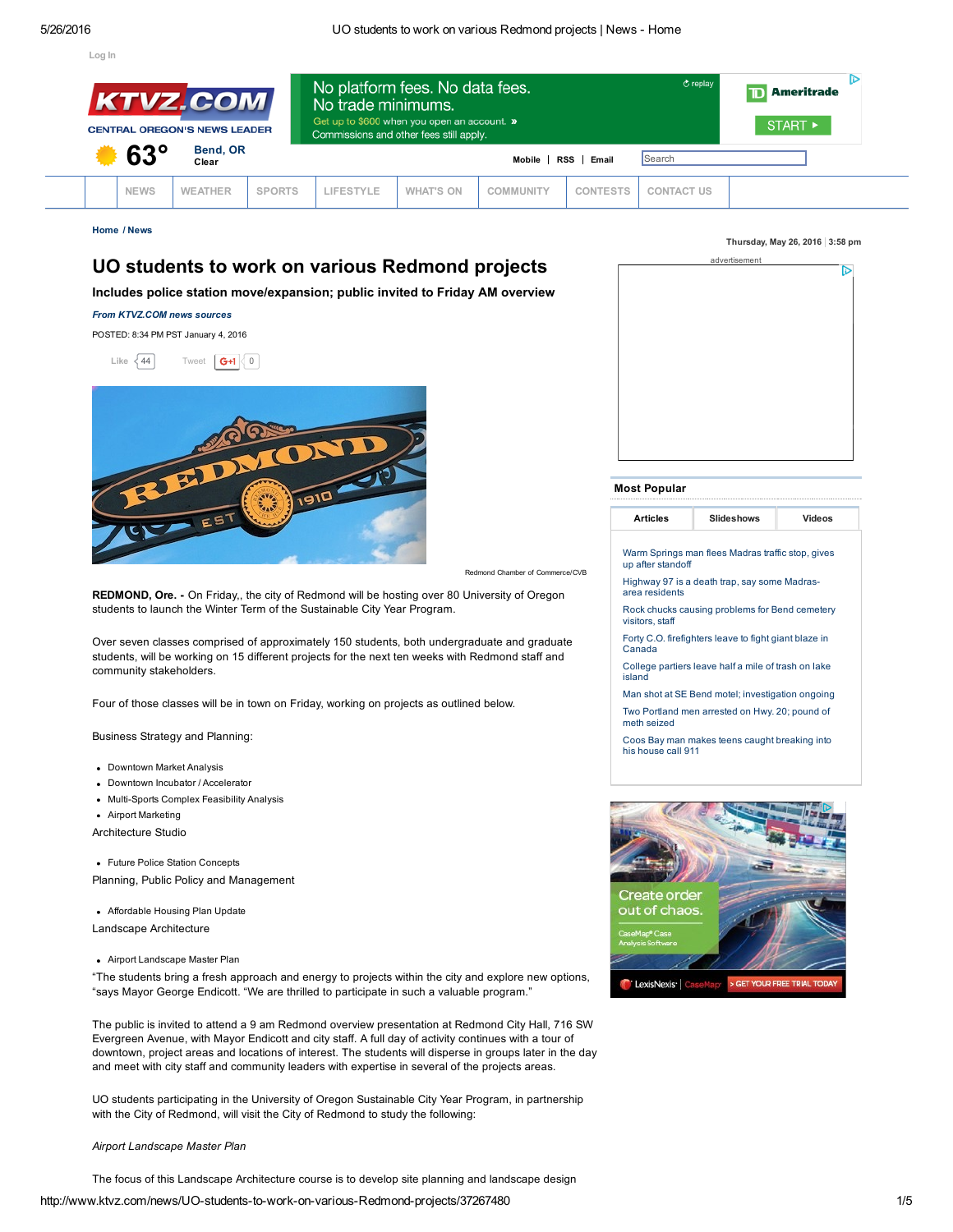[Log](http://www.ktvz.com/news/Sign-Up-for-Email-Newsletters-Alerts/30161144) In



[Home](http://www.ktvz.com/) / [News](http://www.ktvz.com/news)

# UO students to work on various Redmond projects

Includes police station move/expansion; public invited to Friday AM overview

#### *From KTVZ.COM news sources*

POSTED: 8:34 PM PST January 4, 2016

Like  $\begin{{bmatrix} 44 \end{bmatrix}$  [Tweet](https://twitter.com/intent/tweet?original_referer=http%3A%2F%2Fwww.ktvz.com%2Fnews%2FUO-students-to-work-on-various-Redmond-projects%2F37267480&ref_src=twsrc%5Etfw&text=UO%20students%20to%20work%20on%20various%20Redmond%20projects&tw_p=tweetbutton&url=http%3A%2F%2Fwww.ktvz.com%2Fnews%2FUO-students-to-work-on-various-Redmond-projects%2F37267480%23.V0d-1TU8DCg.twitter) **G+1**  $\begin{bmatrix} 0 \end{bmatrix}$ 



Redmond Chamber of Commerce/CVB

REDMOND, Ore. - On Friday,, the city of Redmond will be hosting over 80 University of Oregon students to launch the Winter Term of the Sustainable City Year Program.

Over seven classes comprised of approximately 150 students, both undergraduate and graduate students, will be working on 15 different projects for the next ten weeks with Redmond staff and community stakeholders.

Four of those classes will be in town on Friday, working on projects as outlined below.

Business Strategy and Planning:

- Downtown Market Analysis
- Downtown Incubator / Accelerator
- Multi-Sports Complex Feasibility Analysis
- Airport Marketing

Architecture Studio

Future Police Station Concepts

Planning, Public Policy and Management

Affordable Housing Plan Update

Landscape Architecture

Airport Landscape Master Plan

"The students bring a fresh approach and energy to projects within the city and explore new options, "says Mayor George Endicott. "We are thrilled to participate in such a valuable program."

The public is invited to attend a 9 am Redmond overview presentation at Redmond City Hall, 716 SW Evergreen Avenue, with Mayor Endicott and city staff. A full day of activity continues with a tour of downtown, project areas and locations of interest. The students will disperse in groups later in the day and meet with city staff and community leaders with expertise in several of the projects areas.

UO students participating in the University of Oregon Sustainable City Year Program, in partnership with the City of Redmond, will visit the City of Redmond to study the following:

#### *Airport Landscape Master Plan*

The focus of this Landscape Architecture course is to develop site planning and landscape design

#### Thursday, May 26, 2016  $|3:58$  pm

| advertisement |   |
|---------------|---|
|               | D |
|               |   |
|               |   |
|               |   |
|               |   |
|               |   |
|               |   |
|               |   |
|               |   |
|               |   |
|               |   |
|               |   |
|               |   |
|               |   |
|               |   |
|               |   |

#### Most Popular

| NS |  |
|----|--|
|    |  |

Warm Springs man flees Madras traffic stop, gives up after [standoff](http://www.ktvz.com/news/madrasarea-manhunt-ends-with-suspects-arrest/39722688)

Highway 97 is a death trap, say some Madrasarea [residents](http://www.ktvz.com/news/highway-97-is-a-death-trap-say-some-madrasarea-residents/39733582)

Rock chucks causing [problems](http://www.ktvz.com/news/rock-chucks-causing-problems-for-bend-cemetery-visitors-staff/39733660) for Bend cemetery visitors, staff

Forty C.O. [firefighters](http://www.ktvz.com/news/forty-co-firefighters-leave-to-fight-giant-blaze-in-canada/39733888) leave to fight giant blaze in Canada

[College](http://www.ktvz.com/news/u-of-o-frat-partiers-leave-half-a-mile-of-trash-on-calif-lake-island/39721494) partiers leave half a mile of trash on lake island

Man shot at SE Bend motel; [investigation](http://www.ktvz.com/news/Man-shot-at-SE-Bend-motel-investigation-ongoing/39729464) ongoing Two [Portland](http://www.ktvz.com/news/two-portland-men-arrested-on-hwy-20-pound-of-meth-seized/39731892) men arrested on Hwy. 20; pound of

meth seized Coos Bay man makes teens caught [breaking](http://www.ktvz.com/news/coos-bay-man-makes-teens-caught-breaking-into-his-house-call-911/39701670) into his house call 911